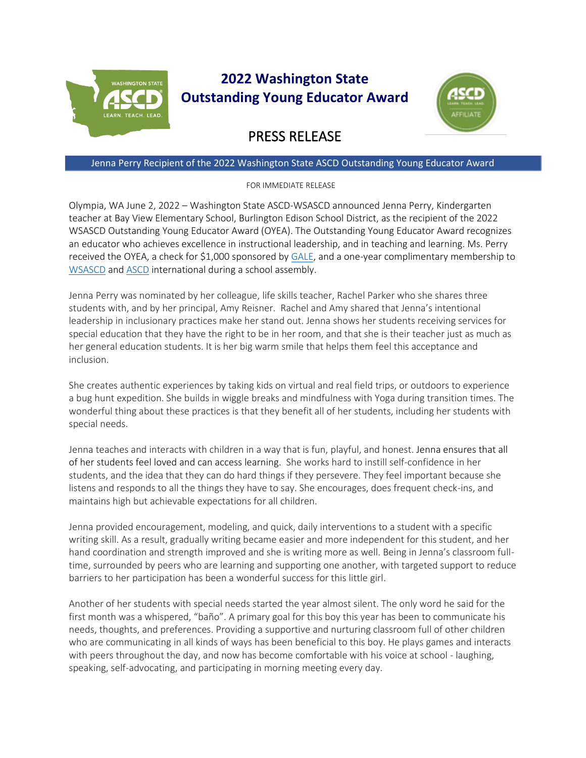

## **2022 Washington State Outstanding Young Educator Award**



## PRESS RELEASE

## Jenna Perry Recipient of the 2022 Washington State ASCD Outstanding Young Educator Award

## FOR IMMEDIATE RELEASE

Olympia, WA June 2, 2022 – Washington State ASCD-WSASCD announced Jenna Perry, Kindergarten teacher at Bay View Elementary School, Burlington Edison School District, as the recipient of the 2022 WSASCD Outstanding Young Educator Award (OYEA). The Outstanding Young Educator Award recognizes an educator who achieves excellence in instructional leadership, and in teaching and learning. Ms. Perry received the OYEA, a check for \$1,000 sponsored by [GALE,](https://www.gale.com/schools) and a one-year complimentary membership to [WSASCD](https://wsascd.org/) and [ASCD](https://ascd.org/) international during a school assembly.

Jenna Perry was nominated by her colleague, life skills teacher, Rachel Parker who she shares three students with, and by her principal, Amy Reisner. Rachel and Amy shared that Jenna's intentional leadership in inclusionary practices make her stand out. Jenna shows her students receiving services for special education that they have the right to be in her room, and that she is their teacher just as much as her general education students. It is her big warm smile that helps them feel this acceptance and inclusion.

She creates authentic experiences by taking kids on virtual and real field trips, or outdoors to experience a bug hunt expedition. She builds in wiggle breaks and mindfulness with Yoga during transition times. The wonderful thing about these practices is that they benefit all of her students, including her students with special needs.

Jenna teaches and interacts with children in a way that is fun, playful, and honest. Jenna ensures that all of her students feel loved and can access learning. She works hard to instill self-confidence in her students, and the idea that they can do hard things if they persevere. They feel important because she listens and responds to all the things they have to say. She encourages, does frequent check-ins, and maintains high but achievable expectations for all children.

Jenna provided encouragement, modeling, and quick, daily interventions to a student with a specific writing skill. As a result, gradually writing became easier and more independent for this student, and her hand coordination and strength improved and she is writing more as well. Being in Jenna's classroom fulltime, surrounded by peers who are learning and supporting one another, with targeted support to reduce barriers to her participation has been a wonderful success for this little girl.

Another of her students with special needs started the year almost silent. The only word he said for the first month was a whispered, "baño". A primary goal for this boy this year has been to communicate his needs, thoughts, and preferences. Providing a supportive and nurturing classroom full of other children who are communicating in all kinds of ways has been beneficial to this boy. He plays games and interacts with peers throughout the day, and now has become comfortable with his voice at school - laughing, speaking, self-advocating, and participating in morning meeting every day.